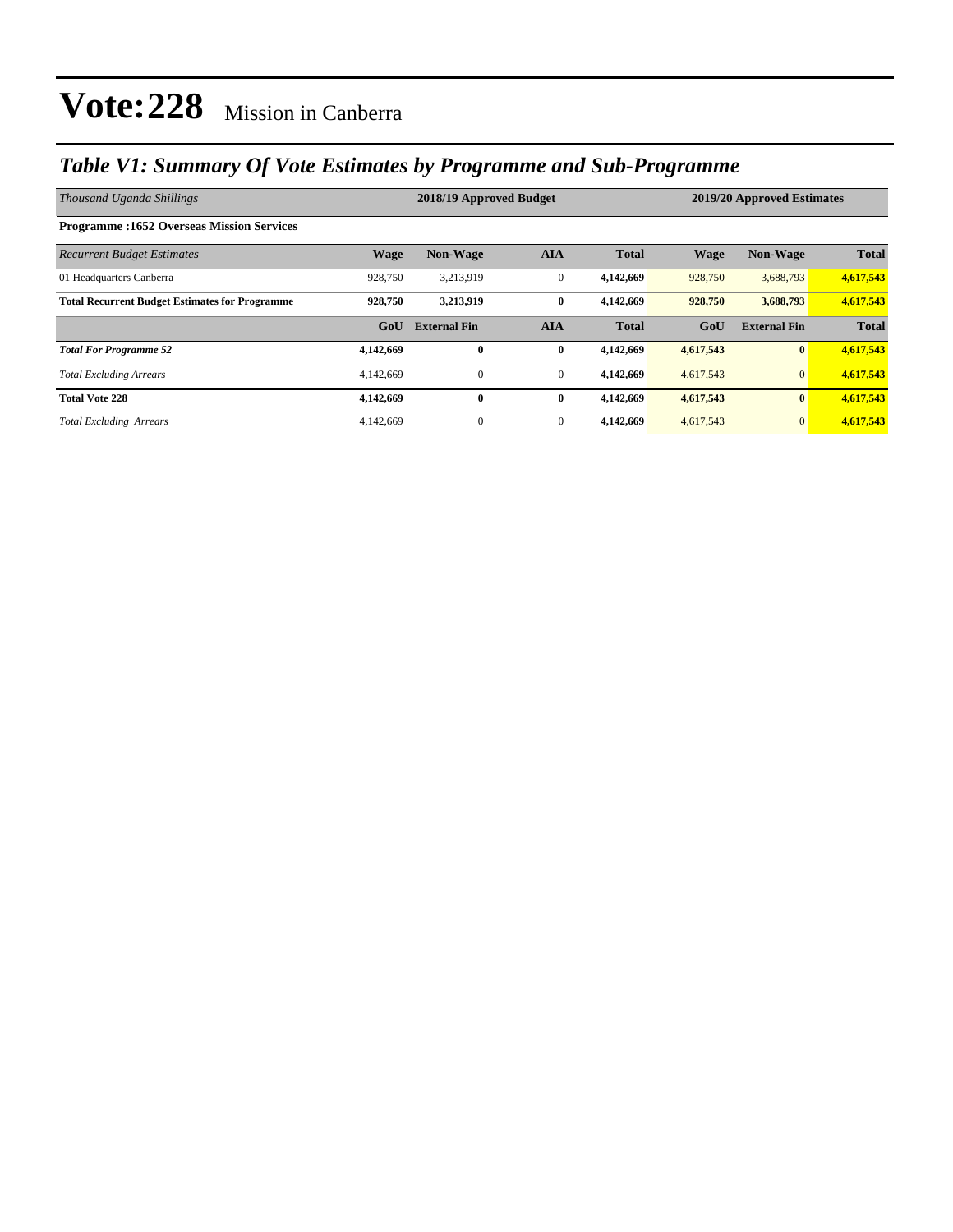### *Table V1: Summary Of Vote Estimates by Programme and Sub-Programme*

| Thousand Uganda Shillings                             |             | 2018/19 Approved Budget |                  | 2019/20 Approved Estimates |             |                     |              |
|-------------------------------------------------------|-------------|-------------------------|------------------|----------------------------|-------------|---------------------|--------------|
| <b>Programme: 1652 Overseas Mission Services</b>      |             |                         |                  |                            |             |                     |              |
| <b>Recurrent Budget Estimates</b>                     | <b>Wage</b> | <b>Non-Wage</b>         | <b>AIA</b>       | <b>Total</b>               | <b>Wage</b> | <b>Non-Wage</b>     | <b>Total</b> |
| 01 Headquarters Canberra                              | 928,750     | 3,213,919               | $\boldsymbol{0}$ | 4,142,669                  | 928,750     | 3,688,793           | 4,617,543    |
| <b>Total Recurrent Budget Estimates for Programme</b> | 928,750     | 3,213,919               | $\bf{0}$         | 4,142,669                  | 928,750     | 3,688,793           | 4,617,543    |
|                                                       | GoU         | <b>External Fin</b>     | <b>AIA</b>       | <b>Total</b>               | GoU         | <b>External Fin</b> | <b>Total</b> |
| <b>Total For Programme 52</b>                         | 4,142,669   | $\mathbf{0}$            | $\bf{0}$         | 4,142,669                  | 4,617,543   | $\bf{0}$            | 4,617,543    |
| <b>Total Excluding Arrears</b>                        | 4,142,669   | $\boldsymbol{0}$        | $\mathbf{0}$     | 4,142,669                  | 4,617,543   | $\mathbf{0}$        | 4,617,543    |
| <b>Total Vote 228</b>                                 | 4,142,669   | $\bf{0}$                | $\bf{0}$         | 4,142,669                  | 4,617,543   | $\bf{0}$            | 4,617,543    |
| <b>Total Excluding Arrears</b>                        | 4,142,669   | $\mathbf{0}$            | $\mathbf{0}$     | 4,142,669                  | 4,617,543   | $\mathbf{0}$        | 4,617,543    |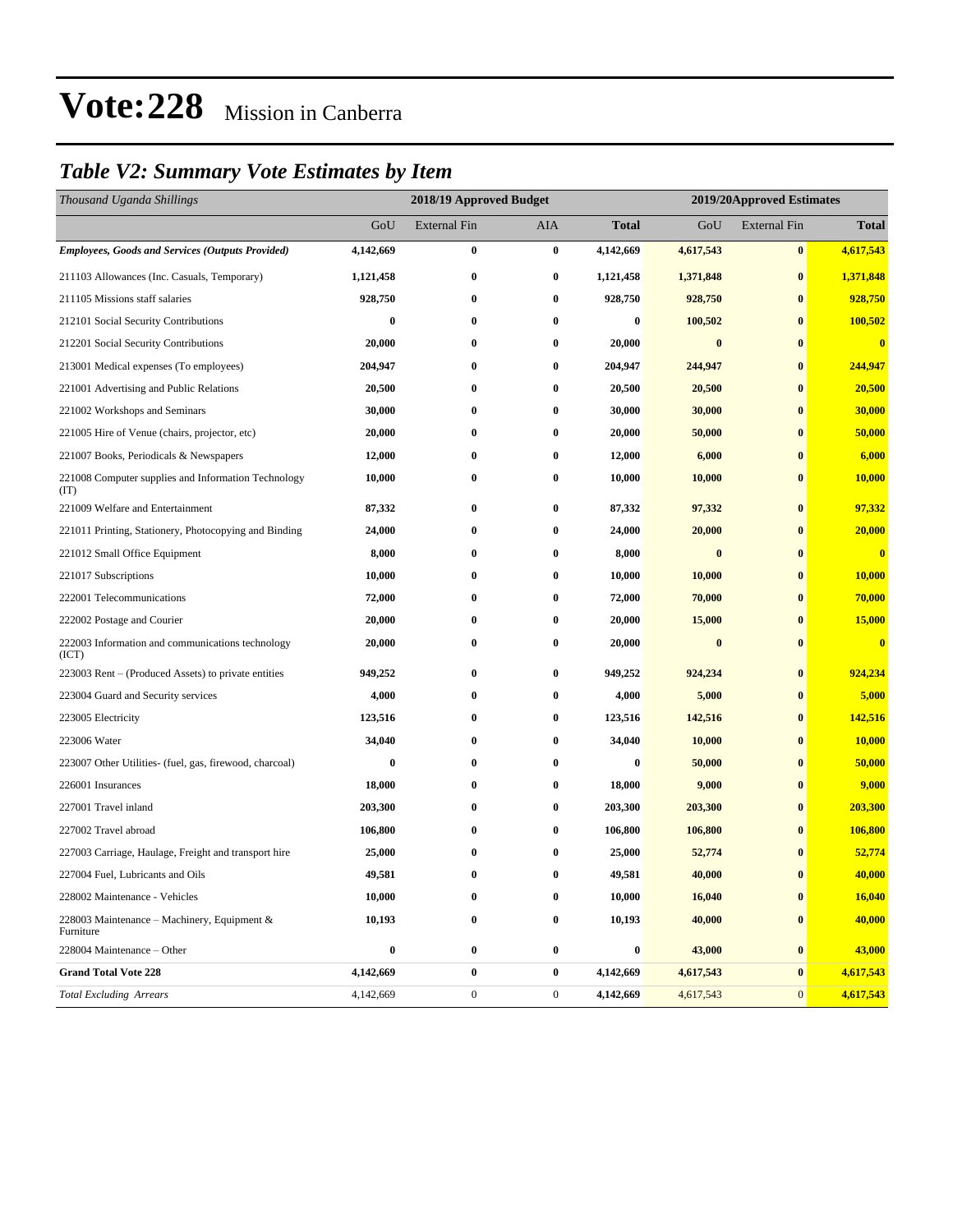### *Table V2: Summary Vote Estimates by Item*

| Thousand Uganda Shillings                                   | 2018/19 Approved Budget |                     |              |                  | 2019/20Approved Estimates |                     |              |  |
|-------------------------------------------------------------|-------------------------|---------------------|--------------|------------------|---------------------------|---------------------|--------------|--|
|                                                             | GoU                     | <b>External Fin</b> | <b>AIA</b>   | <b>Total</b>     | GoU                       | <b>External Fin</b> | <b>Total</b> |  |
| <b>Employees, Goods and Services (Outputs Provided)</b>     | 4,142,669               | $\boldsymbol{0}$    | $\bf{0}$     | 4,142,669        | 4,617,543                 | $\bf{0}$            | 4,617,543    |  |
| 211103 Allowances (Inc. Casuals, Temporary)                 | 1,121,458               | $\bf{0}$            | $\bf{0}$     | 1,121,458        | 1,371,848                 | $\bf{0}$            | 1,371,848    |  |
| 211105 Missions staff salaries                              | 928,750                 | $\bf{0}$            | $\bf{0}$     | 928,750          | 928,750                   | $\bf{0}$            | 928,750      |  |
| 212101 Social Security Contributions                        | 0                       | $\bf{0}$            | $\bf{0}$     | $\boldsymbol{0}$ | 100,502                   | $\bf{0}$            | 100,502      |  |
| 212201 Social Security Contributions                        | 20,000                  | 0                   | $\bf{0}$     | 20,000           | $\bf{0}$                  | $\bf{0}$            | $\bf{0}$     |  |
| 213001 Medical expenses (To employees)                      | 204,947                 | $\bf{0}$            | $\bf{0}$     | 204,947          | 244,947                   | $\bf{0}$            | 244,947      |  |
| 221001 Advertising and Public Relations                     | 20,500                  | 0                   | $\bf{0}$     | 20,500           | 20,500                    | $\bf{0}$            | 20,500       |  |
| 221002 Workshops and Seminars                               | 30,000                  | 0                   | $\bf{0}$     | 30,000           | 30,000                    | $\bf{0}$            | 30,000       |  |
| 221005 Hire of Venue (chairs, projector, etc)               | 20,000                  | $\bf{0}$            | $\bf{0}$     | 20,000           | 50,000                    | $\bf{0}$            | 50,000       |  |
| 221007 Books, Periodicals & Newspapers                      | 12,000                  | $\bf{0}$            | $\bf{0}$     | 12,000           | 6,000                     | $\bf{0}$            | 6,000        |  |
| 221008 Computer supplies and Information Technology<br>(TT) | 10,000                  | $\bf{0}$            | $\bf{0}$     | 10,000           | 10,000                    | $\bf{0}$            | 10,000       |  |
| 221009 Welfare and Entertainment                            | 87,332                  | $\bf{0}$            | $\bf{0}$     | 87,332           | 97,332                    | $\bf{0}$            | 97,332       |  |
| 221011 Printing, Stationery, Photocopying and Binding       | 24,000                  | $\bf{0}$            | $\bf{0}$     | 24,000           | 20,000                    | $\bf{0}$            | 20,000       |  |
| 221012 Small Office Equipment                               | 8,000                   | 0                   | $\bf{0}$     | 8,000            | $\bf{0}$                  | $\bf{0}$            | $\bf{0}$     |  |
| 221017 Subscriptions                                        | 10,000                  | $\bf{0}$            | $\bf{0}$     | 10,000           | 10,000                    | $\bf{0}$            | 10,000       |  |
| 222001 Telecommunications                                   | 72,000                  | 0                   | $\bf{0}$     | 72,000           | 70,000                    | $\bf{0}$            | 70,000       |  |
| 222002 Postage and Courier                                  | 20,000                  | $\boldsymbol{0}$    | $\bf{0}$     | 20,000           | 15,000                    | $\bf{0}$            | 15,000       |  |
| 222003 Information and communications technology<br>(ICT)   | 20,000                  | $\bf{0}$            | $\bf{0}$     | 20,000           | $\bf{0}$                  | $\bf{0}$            | $\bf{0}$     |  |
| 223003 Rent – (Produced Assets) to private entities         | 949,252                 | $\bf{0}$            | $\bf{0}$     | 949,252          | 924,234                   | $\bf{0}$            | 924,234      |  |
| 223004 Guard and Security services                          | 4,000                   | 0                   | $\bf{0}$     | 4,000            | 5,000                     | $\bf{0}$            | 5,000        |  |
| 223005 Electricity                                          | 123,516                 | $\bf{0}$            | $\bf{0}$     | 123,516          | 142,516                   | $\bf{0}$            | 142,516      |  |
| 223006 Water                                                | 34,040                  | $\bf{0}$            | $\bf{0}$     | 34,040           | 10,000                    | $\bf{0}$            | 10,000       |  |
| 223007 Other Utilities- (fuel, gas, firewood, charcoal)     | $\bf{0}$                | $\bf{0}$            | $\bf{0}$     | $\bf{0}$         | 50,000                    | $\bf{0}$            | 50,000       |  |
| 226001 Insurances                                           | 18,000                  | $\bf{0}$            | $\bf{0}$     | 18,000           | 9,000                     | $\bf{0}$            | 9,000        |  |
| 227001 Travel inland                                        | 203,300                 | $\bf{0}$            | $\bf{0}$     | 203,300          | 203,300                   | $\bf{0}$            | 203,300      |  |
| 227002 Travel abroad                                        | 106,800                 | $\bf{0}$            | $\bf{0}$     | 106,800          | 106,800                   | $\bf{0}$            | 106,800      |  |
| 227003 Carriage, Haulage, Freight and transport hire        | 25,000                  | $\bf{0}$            | $\bf{0}$     | 25,000           | 52,774                    | $\bf{0}$            | 52,774       |  |
| 227004 Fuel, Lubricants and Oils                            | 49,581                  | $\bf{0}$            | $\bf{0}$     | 49,581           | 40,000                    | $\bf{0}$            | 40,000       |  |
| 228002 Maintenance - Vehicles                               | 10,000                  | $\boldsymbol{0}$    | $\bf{0}$     | 10,000           | 16,040                    | $\bf{0}$            | 16,040       |  |
| 228003 Maintenance - Machinery, Equipment &<br>Furniture    | 10,193                  | $\boldsymbol{0}$    | $\bf{0}$     | 10,193           | 40,000                    | $\bf{0}$            | 40,000       |  |
| 228004 Maintenance - Other                                  | $\boldsymbol{0}$        | $\pmb{0}$           | $\bf{0}$     | $\boldsymbol{0}$ | 43,000                    | $\bf{0}$            | 43,000       |  |
| <b>Grand Total Vote 228</b>                                 | 4,142,669               | $\pmb{0}$           | $\bf{0}$     | 4,142,669        | 4,617,543                 | $\bf{0}$            | 4,617,543    |  |
| <b>Total Excluding Arrears</b>                              | 4,142,669               | $\boldsymbol{0}$    | $\mathbf{0}$ | 4,142,669        | 4,617,543                 | $\mathbf{0}$        | 4,617,543    |  |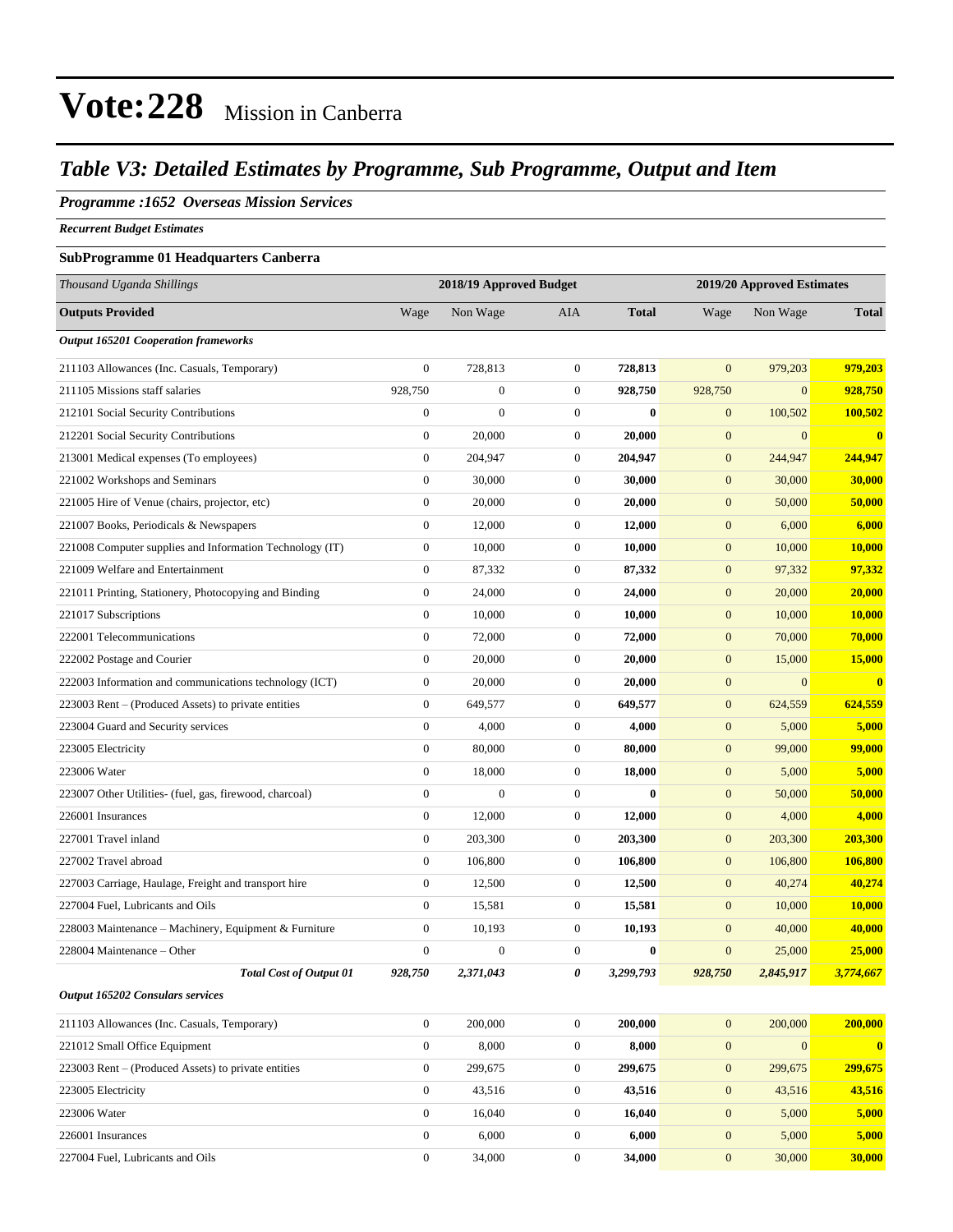### *Table V3: Detailed Estimates by Programme, Sub Programme, Output and Item*

### *Programme :1652 Overseas Mission Services*

*Recurrent Budget Estimates*

### **SubProgramme 01 Headquarters Canberra**

| Thousand Uganda Shillings                                |                  | 2018/19 Approved Budget |                  | 2019/20 Approved Estimates |                  |                  |               |
|----------------------------------------------------------|------------------|-------------------------|------------------|----------------------------|------------------|------------------|---------------|
| <b>Outputs Provided</b>                                  | Wage             | Non Wage                | AIA              | <b>Total</b>               | Wage             | Non Wage         | <b>Total</b>  |
| <b>Output 165201 Cooperation frameworks</b>              |                  |                         |                  |                            |                  |                  |               |
| 211103 Allowances (Inc. Casuals, Temporary)              | $\boldsymbol{0}$ | 728,813                 | $\boldsymbol{0}$ | 728,813                    | $\mathbf{0}$     | 979,203          | 979,203       |
| 211105 Missions staff salaries                           | 928,750          | $\boldsymbol{0}$        | $\boldsymbol{0}$ | 928,750                    | 928,750          | $\mathbf{0}$     | 928,750       |
| 212101 Social Security Contributions                     | $\boldsymbol{0}$ | $\mathbf{0}$            | $\boldsymbol{0}$ | $\bf{0}$                   | $\mathbf{0}$     | 100,502          | 100,502       |
| 212201 Social Security Contributions                     | $\boldsymbol{0}$ | 20,000                  | $\boldsymbol{0}$ | 20,000                     | $\boldsymbol{0}$ | $\boldsymbol{0}$ | $\bf{0}$      |
| 213001 Medical expenses (To employees)                   | $\boldsymbol{0}$ | 204,947                 | $\boldsymbol{0}$ | 204,947                    | $\mathbf{0}$     | 244,947          | 244,947       |
| 221002 Workshops and Seminars                            | $\mathbf{0}$     | 30,000                  | $\boldsymbol{0}$ | 30,000                     | $\mathbf{0}$     | 30,000           | 30,000        |
| 221005 Hire of Venue (chairs, projector, etc)            | $\mathbf{0}$     | 20,000                  | $\boldsymbol{0}$ | 20,000                     | $\mathbf{0}$     | 50,000           | 50,000        |
| 221007 Books, Periodicals & Newspapers                   | $\mathbf{0}$     | 12,000                  | $\boldsymbol{0}$ | 12,000                     | $\mathbf{0}$     | 6,000            | 6,000         |
| 221008 Computer supplies and Information Technology (IT) | $\mathbf{0}$     | 10,000                  | $\boldsymbol{0}$ | 10,000                     | $\mathbf{0}$     | 10,000           | <b>10,000</b> |
| 221009 Welfare and Entertainment                         | $\mathbf{0}$     | 87,332                  | $\boldsymbol{0}$ | 87,332                     | $\mathbf{0}$     | 97,332           | 97,332        |
| 221011 Printing, Stationery, Photocopying and Binding    | $\mathbf{0}$     | 24,000                  | $\boldsymbol{0}$ | 24,000                     | $\mathbf{0}$     | 20,000           | 20,000        |
| 221017 Subscriptions                                     | $\mathbf{0}$     | 10,000                  | $\boldsymbol{0}$ | 10,000                     | $\mathbf{0}$     | 10,000           | 10,000        |
| 222001 Telecommunications                                | $\mathbf{0}$     | 72,000                  | $\boldsymbol{0}$ | 72,000                     | $\mathbf{0}$     | 70,000           | 70,000        |
| 222002 Postage and Courier                               | $\mathbf{0}$     | 20,000                  | $\boldsymbol{0}$ | 20,000                     | $\mathbf{0}$     | 15,000           | <b>15,000</b> |
| 222003 Information and communications technology (ICT)   | $\mathbf{0}$     | 20,000                  | $\boldsymbol{0}$ | 20,000                     | $\boldsymbol{0}$ | $\mathbf{0}$     | $\bf{0}$      |
| 223003 Rent – (Produced Assets) to private entities      | $\mathbf{0}$     | 649,577                 | $\boldsymbol{0}$ | 649,577                    | $\mathbf{0}$     | 624,559          | 624,559       |
| 223004 Guard and Security services                       | $\boldsymbol{0}$ | 4,000                   | $\boldsymbol{0}$ | 4,000                      | $\mathbf{0}$     | 5,000            | 5,000         |
| 223005 Electricity                                       | $\mathbf{0}$     | 80,000                  | $\boldsymbol{0}$ | 80,000                     | $\mathbf{0}$     | 99,000           | 99,000        |
| 223006 Water                                             | $\boldsymbol{0}$ | 18,000                  | $\boldsymbol{0}$ | 18,000                     | $\mathbf{0}$     | 5,000            | 5,000         |
| 223007 Other Utilities- (fuel, gas, firewood, charcoal)  | $\boldsymbol{0}$ | $\mathbf{0}$            | $\boldsymbol{0}$ | $\bf{0}$                   | $\mathbf{0}$     | 50,000           | 50,000        |
| 226001 Insurances                                        | $\boldsymbol{0}$ | 12,000                  | $\boldsymbol{0}$ | 12,000                     | $\mathbf{0}$     | 4,000            | 4,000         |
| 227001 Travel inland                                     | $\mathbf{0}$     | 203,300                 | $\boldsymbol{0}$ | 203,300                    | $\mathbf{0}$     | 203,300          | 203,300       |
| 227002 Travel abroad                                     | $\mathbf{0}$     | 106,800                 | $\boldsymbol{0}$ | 106,800                    | $\mathbf{0}$     | 106,800          | 106,800       |
| 227003 Carriage, Haulage, Freight and transport hire     | $\mathbf{0}$     | 12,500                  | $\boldsymbol{0}$ | 12,500                     | $\mathbf{0}$     | 40,274           | 40,274        |
| 227004 Fuel, Lubricants and Oils                         | $\boldsymbol{0}$ | 15,581                  | $\boldsymbol{0}$ | 15,581                     | $\mathbf{0}$     | 10,000           | 10,000        |
| 228003 Maintenance - Machinery, Equipment & Furniture    | $\mathbf{0}$     | 10,193                  | $\boldsymbol{0}$ | 10,193                     | $\mathbf{0}$     | 40,000           | 40,000        |
| 228004 Maintenance – Other                               | $\boldsymbol{0}$ | $\boldsymbol{0}$        | $\boldsymbol{0}$ | $\bf{0}$                   | $\mathbf{0}$     | 25,000           | 25,000        |
| <b>Total Cost of Output 01</b>                           | 928,750          | 2,371,043               | 0                | 3,299,793                  | 928,750          | 2,845,917        | 3,774,667     |
| <b>Output 165202 Consulars services</b>                  |                  |                         |                  |                            |                  |                  |               |
| 211103 Allowances (Inc. Casuals, Temporary)              | $\mathbf{0}$     | 200,000                 | $\boldsymbol{0}$ | 200,000                    | $\mathbf{0}$     | 200,000          | 200,000       |
| 221012 Small Office Equipment                            | $\mathbf{0}$     | 8,000                   | $\boldsymbol{0}$ | 8,000                      | $\mathbf{0}$     | $\mathbf{0}$     | $\mathbf{0}$  |
| 223003 Rent – (Produced Assets) to private entities      | $\mathbf{0}$     | 299,675                 | $\boldsymbol{0}$ | 299,675                    | $\mathbf{0}$     | 299,675          | 299,675       |
| 223005 Electricity                                       | $\boldsymbol{0}$ | 43,516                  | 0                | 43,516                     | $\mathbf{0}$     | 43,516           | 43,516        |
| 223006 Water                                             | $\boldsymbol{0}$ | 16,040                  | $\boldsymbol{0}$ | 16,040                     | $\mathbf{0}$     | 5,000            | 5,000         |
| 226001 Insurances                                        | $\boldsymbol{0}$ | 6,000                   | $\boldsymbol{0}$ | 6,000                      | $\mathbf{0}$     | 5,000            | 5,000         |
| 227004 Fuel, Lubricants and Oils                         | $\boldsymbol{0}$ | 34,000                  | $\overline{0}$   | 34,000                     | $\mathbf{0}$     | 30,000           | 30,000        |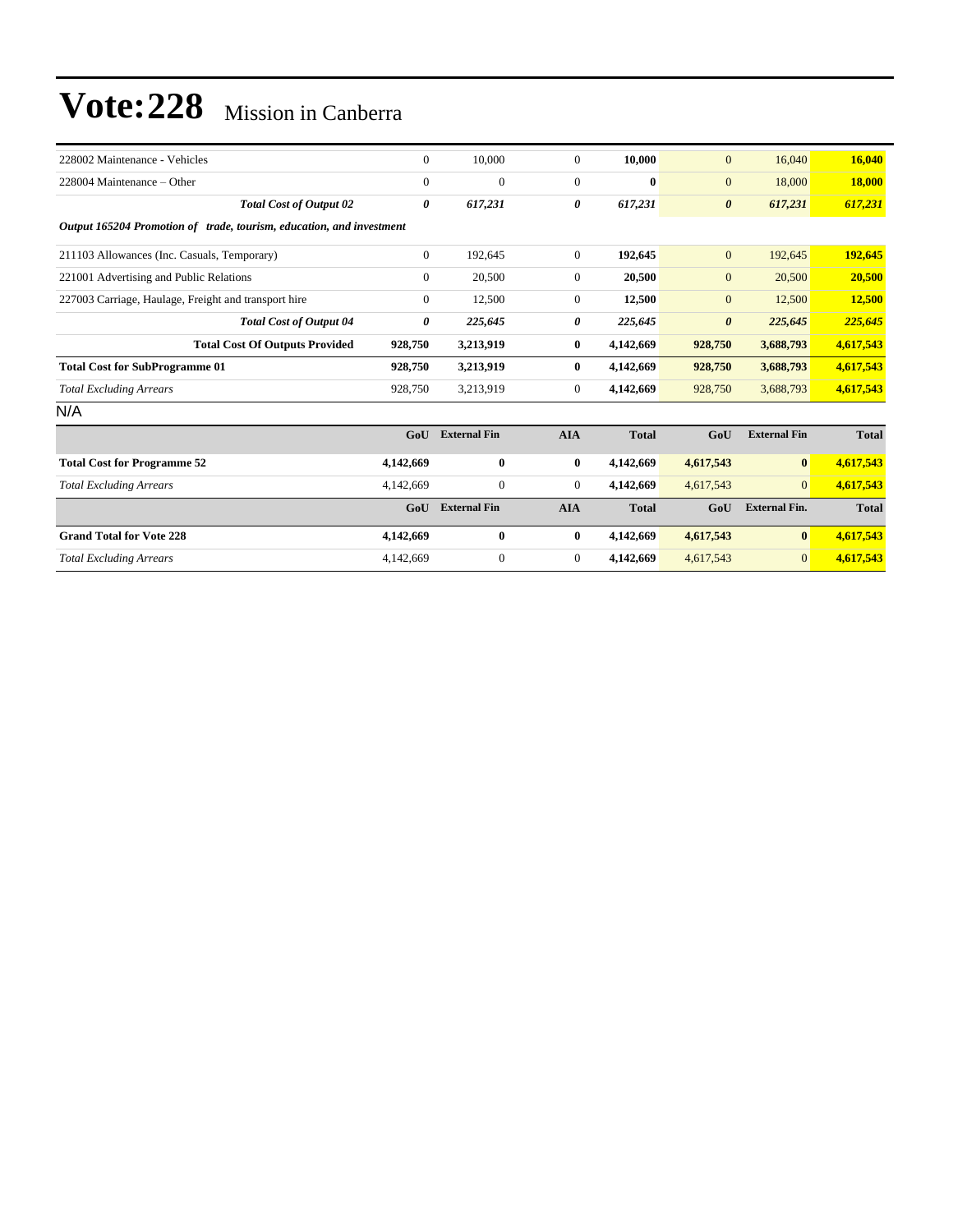| 228002 Maintenance - Vehicles                                        | $\overline{0}$ | 10,000              | $\overline{0}$ | 10,000       | $\mathbf{0}$          | 16.040               | 16,040       |
|----------------------------------------------------------------------|----------------|---------------------|----------------|--------------|-----------------------|----------------------|--------------|
| 228004 Maintenance – Other                                           | $\overline{0}$ | $\mathbf{0}$        | $\overline{0}$ | $\bf{0}$     | $\mathbf{0}$          | 18,000               | 18,000       |
| <b>Total Cost of Output 02</b>                                       | 0              | 617,231             | 0              | 617,231      | $\boldsymbol{\theta}$ | 617,231              | 617,231      |
| Output 165204 Promotion of trade, tourism, education, and investment |                |                     |                |              |                       |                      |              |
| 211103 Allowances (Inc. Casuals, Temporary)                          | $\Omega$       | 192,645             | $\Omega$       | 192,645      | $\mathbf{0}$          | 192,645              | 192,645      |
| 221001 Advertising and Public Relations                              | $\Omega$       | 20,500              | $\Omega$       | 20,500       | $\mathbf{0}$          | 20,500               | 20,500       |
| 227003 Carriage, Haulage, Freight and transport hire                 | $\overline{0}$ | 12,500              | $\overline{0}$ | 12,500       | $\mathbf{0}$          | 12,500               | 12,500       |
| <b>Total Cost of Output 04</b>                                       | 0              | 225,645             | 0              | 225,645      | $\boldsymbol{\theta}$ | 225,645              | 225,645      |
| <b>Total Cost Of Outputs Provided</b>                                | 928,750        | 3,213,919           | $\bf{0}$       | 4,142,669    | 928,750               | 3,688,793            | 4,617,543    |
| <b>Total Cost for SubProgramme 01</b>                                | 928,750        | 3,213,919           | $\bf{0}$       | 4,142,669    | 928,750               | 3,688,793            | 4,617,543    |
| <b>Total Excluding Arrears</b>                                       | 928,750        | 3,213,919           | $\overline{0}$ | 4,142,669    | 928,750               | 3,688,793            | 4,617,543    |
| N/A                                                                  |                |                     |                |              |                       |                      |              |
|                                                                      | GoU            | <b>External Fin</b> | <b>AIA</b>     | <b>Total</b> | GoU                   | <b>External Fin</b>  | <b>Total</b> |
| <b>Total Cost for Programme 52</b>                                   | 4,142,669      | $\bf{0}$            | $\bf{0}$       | 4,142,669    | 4,617,543             | $\bf{0}$             | 4,617,543    |
| <b>Total Excluding Arrears</b>                                       | 4,142,669      | $\mathbf{0}$        | 0              | 4,142,669    | 4,617,543             | $\overline{0}$       | 4,617,543    |
|                                                                      | GoU            | <b>External Fin</b> | <b>AIA</b>     | <b>Total</b> | GoU                   | <b>External Fin.</b> | <b>Total</b> |
| <b>Grand Total for Vote 228</b>                                      | 4,142,669      | $\bf{0}$            | $\bf{0}$       | 4,142,669    | 4,617,543             | $\bf{0}$             | 4,617,543    |
| <b>Total Excluding Arrears</b>                                       | 4,142,669      | $\mathbf{0}$        | $\overline{0}$ | 4,142,669    | 4,617,543             | $\overline{0}$       | 4,617,543    |
|                                                                      |                |                     |                |              |                       |                      |              |